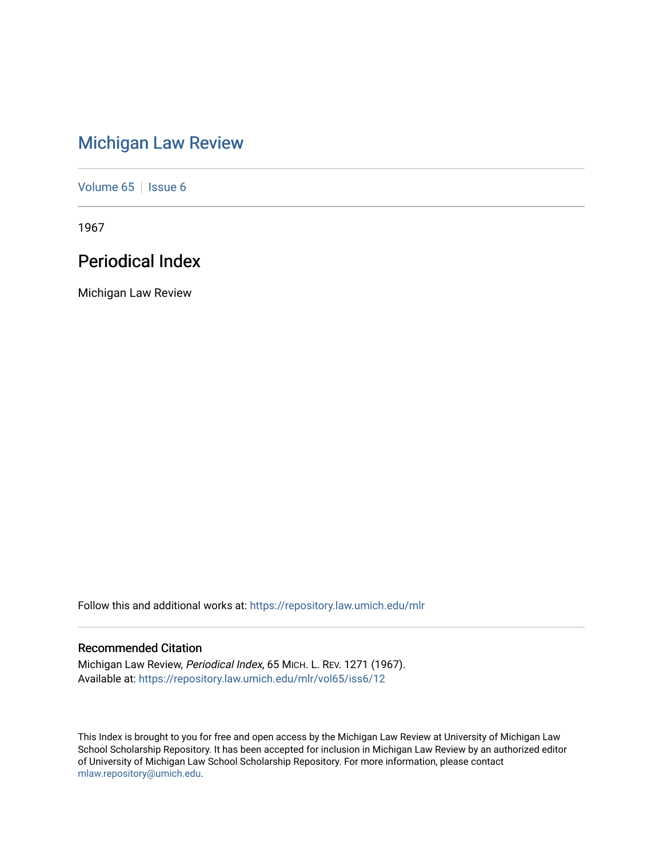# [Michigan Law Review](https://repository.law.umich.edu/mlr)

[Volume 65](https://repository.law.umich.edu/mlr/vol65) | [Issue 6](https://repository.law.umich.edu/mlr/vol65/iss6)

1967

# Periodical Index

Michigan Law Review

Follow this and additional works at: [https://repository.law.umich.edu/mlr](https://repository.law.umich.edu/mlr?utm_source=repository.law.umich.edu%2Fmlr%2Fvol65%2Fiss6%2F12&utm_medium=PDF&utm_campaign=PDFCoverPages) 

# Recommended Citation

Michigan Law Review, Periodical Index, 65 MICH. L. REV. 1271 (1967). Available at: [https://repository.law.umich.edu/mlr/vol65/iss6/12](https://repository.law.umich.edu/mlr/vol65/iss6/12?utm_source=repository.law.umich.edu%2Fmlr%2Fvol65%2Fiss6%2F12&utm_medium=PDF&utm_campaign=PDFCoverPages) 

This Index is brought to you for free and open access by the Michigan Law Review at University of Michigan Law School Scholarship Repository. It has been accepted for inclusion in Michigan Law Review by an authorized editor of University of Michigan Law School Scholarship Repository. For more information, please contact [mlaw.repository@umich.edu.](mailto:mlaw.repository@umich.edu)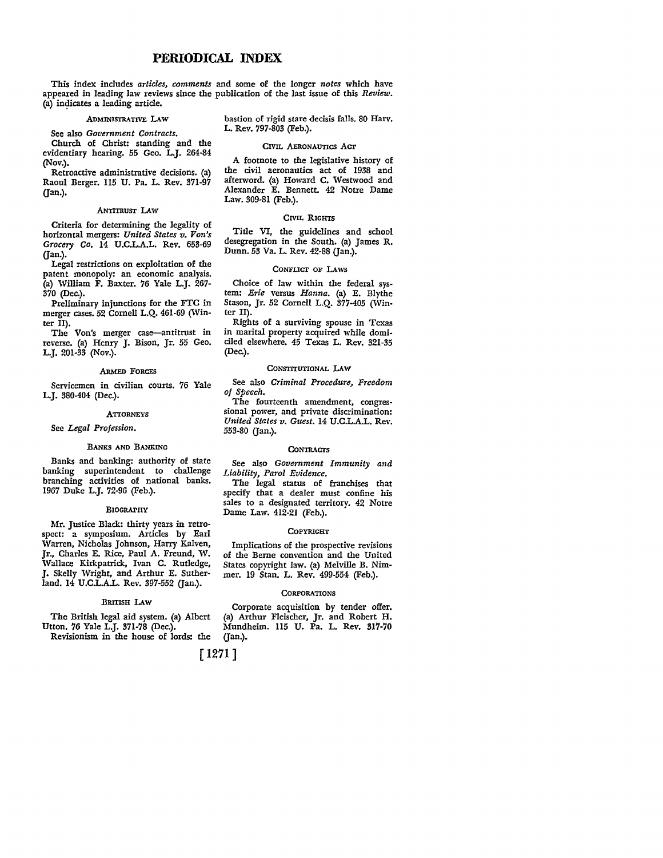This index includes *articles, comments* and some of the longer *notes* which have appeared in leading law reviews since the publication of the last issue of this *Review.*  (a) indicates a leading article.

#### ADMINISTRATIVE LAW

See also *Government Contracts.* 

Church of Christ: standing and the evidentiary hearing. 55 Geo. L.J. 264-84 (Nov.).

Retroactive administrative decisions. (a) Raoul Berger. 115 U. Pa. L. Rev. 371-97 (Jan.).

#### **ANTITRUST LAW**

Criteria for determining the legality of horizontal mergers: *United States v. Von's Grocery Co.* 14 U.C.L.A.L. Rev. 653-69 (Jan.).

Legal restrictions on exploitation of the patent monopoly: an economic analysis. (a) William F. Baxter. 76 Yale L.J. 267- 370 (Dec.).

Preliminary injunctions for the FTC in merger cases. 52 Cornell L.Q. 461-69 (Winter II).

The Von's merger case-antitrust in reverse. (a) Henry J. Bison, Jr. 55 Geo. L.J. 201-33 (Nov.).

#### ARMED FORCES

Servicemen in civilian courts. 76 Yale L.J. 380-404 (Dec.).

#### **ATTORNEYS**

See *Legal Profession.* 

#### BANKS AND BANKING

Banks and banking: authority of state banking superintendent to challenge branching activities of national banks. 1967 Duke L.J. 72-96 (Feb.).

#### BIOGRAPHY

Mr. Justice Black: thirty years in retrospect: a symposium. Articles by Earl Vvarren, Nicholas Johnson, Harry Kalven, Jr., Charles E. Rice, Paul A. Freund, W. Wallace Kirkpatrick, Ivan C. Rutledge, J. Skelly Wright, and Arthur E. Sutherland. 14 U.C.L.A.L. Rev. 397-552 (Jan.).

# BRITISH LAW

The British legal aid system. (a) Albert Utton. 76 Yale L.J. 371-78 (Dec.).

Revisionism in the house of lords: the

bastion of rigid stare decisis falls. 80 Harv. L. Rev. 797-803 (Feb.).

#### CIVIL AERONAUTICS Acr

A footnote to the legislative history of the civil aeronautics act of 1938 and afterword. (a) Howard C. Westwood and Alexander E. Bennett. 42 Notre Dame Law. 309-81 (Feb.).

#### CIVIL RIGHTS

Title VI, the guidelines and school desegregation in the South. (a) James R. Dunn. 53 Va. L. Rev. 42-88 (Jan.).

#### CONFLICT OF LAWS

Choice of law within the federal system: *Erie* versus *Hanna.* (a) E. Blythe Stason, Jr. 52 Cornell L.Q. 377-405 (Winter II).

Rights of a surviving spouse in Texas in marital property acquired while domi• ciled elsewhere. 45 Texas L. Rev. 321-35 (Dec.).

#### CONSTITUTIONAL **l.AW**

See also *Criminal Procedure, Freedom of Speech.* 

The fourteenth amendment, congressional power, and private discrimination: *United States v. Guest.* 14 U.C.L.A.L. Rev. 553-80 (Jan.).

#### **CONTRACTS**

See also *Government Immunity and Liability, Parol Evidence.* 

The legal status of franchises that specify that a dealer must confine his sales to a designated territory. 42 Notre Dame Law. 412-21 (Feb.).

#### **COPYRIGHT**

Implications of the prospective revisions of the Berne convention and the United States copyright law. (a) Melville B. Nimmer. 19 Stan. L. Rev. 499-554 (Feb.).

# **CORPORATIONS**

Corporate acquisition by tender offer. (a) Arthur Fleischer, Jr. and Robert H. Mundheim. 115 U. Pa. L. Rev. 317-70 (Jan.).

[ 1271]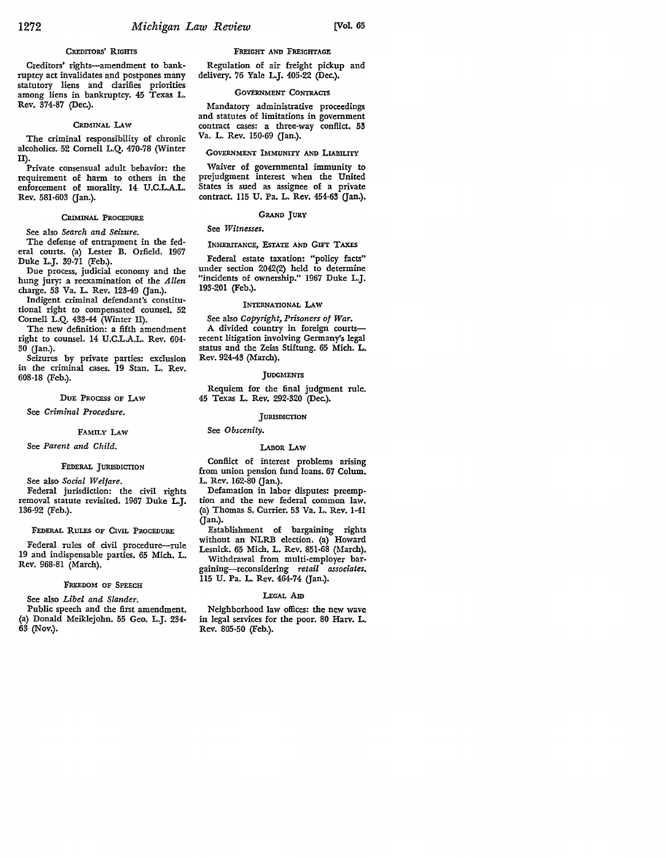# CREDITORS' RIGHTS

Creditors' rights-amendment to bankruptcy act invalidates and postpones many statutory liens and clarifies priorities among liens in bankruptcy. 45 Texas L. Rev. 374-87 (Dec.).

#### CRIMINAL LAW

The criminal responsibility of chronic alcoholics. 52 Cornell L.Q. 470-78 (Winter II).

Private consensual adult behavior: the requirement of harm to others in the enforcement of morality. 14 U.C.L.A.L. Rev. 581-603 (Jan.).

## CRIMINAL PROCEDURE

See also *Search and Seizure.* 

The defense of entrapment in the federal courts. (a) Lester B. Orfield. 1967 Duke L.J. 39-71 (Feb.).

Due process, judicial economy and the hung jury: a reexamination of the *Allen*  charge. 53 Va. L. Rev. 123-49 (Jan.).

Indigent criminal defendant's constitutional right to compensated counsel. 52 Cornell L.Q. 433-44 (Winter II).

The new definition: a fifth amendment right to counsel. 14 U.CL.A.L. Rev. 604- 30 (Jan.).

Seizures by private parties: exclusion in the criminal cases. 19 Stan. L. Rev. 608-18 (Feb.).

## DuE PROCESS OF LAw

See *Criminal Procedure.* 

## FAMILY LAW

See *Parent and Child.* 

#### FEDERAL JURISDICTION

See also *Social Welfare.* 

Federal jurisdiction: the civil rights removal statute revisited. 1967 Duke L.J. 136-92 (Feb.).

# FEDERAL RULES OF CIVIL PROCEDURE

Federal rules of civil procedure-rule 19 and indispensable parties. 65 Mich. L. Rev. 968-81 (March).

#### FREEDOM OF SPEECH

See also *Libel and Slander.* 

Public speech and the first amendment. (a) Donald Meiklejohn. 55 Geo. L.J. 234- 63 (Nov.).

FREIGHT AND FREIGHTAGE

Regulation of air freight pickup and delivery. 76 Yale L.J. 405-22 (Dec.).

# GOVERNMENT CONTRACTS

Mandatory administrative proceedings and statutes of limitations in government contract cases: a three-way conflict. 53 Va. L. Rev. 150-69 (Jan.).

#### GOVERNMENT IMMUNITY AND LIABILITY

Waiver of governmental immunity to prejudgment interest when the United States is sued as assignee of a private contract. 115 U. Pa. L. Rev. 454-63 (Jan.).

#### GRAND JURY

# See *Witnesses.*

#### INHERITANCE, EsTATE AND GIFT TAXES

Federal estate taxation: "policy facts" under section 2042(2) held to determine "incidents of ownership." 1967 Duke L.J. 193-201 (Feb.).

#### INTERNATIONAL LAW

See also *Copyright, Prisoners of War.*  A divided country in foreign courtsrecent litigation involving Germany's legal status and the Zeiss Stiftung. 65 Mich. L. *Rev.* 924-43 (March).

#### **JUDGMENTS**

Requiem for the final judgment rule. 45 Texas L. Rev. 292-320 (Dec.).

#### **JURISDICTION**

# See *Obscenity.*

# LAnoR LAw

Conflict of interest problems arising from union pension fund loans. 67 Colum. L. Rev. 162-80 (Jan.).

Defamation in labor disputes: preemption and the new federal common law. (a) Thomas S. Currier. 53 Va. L. *Rev.* 1-41 Gan.).

Establishment of bargaining rights without an NLRB election. (a) Howard Lesnick. 65 Mich. L. *Rev.* 851-68 (March).

Withdrawal from multi-employer bargaining-reconsidering *retail associates.* 

115 U. Pa. L. *Rev.* 464-74 Gan.).

## LEGAL Am

Neighborhood law offices: the new wave in legal services for the poor. 80 Harv. L. *Rev.* 805-50 (Feb.).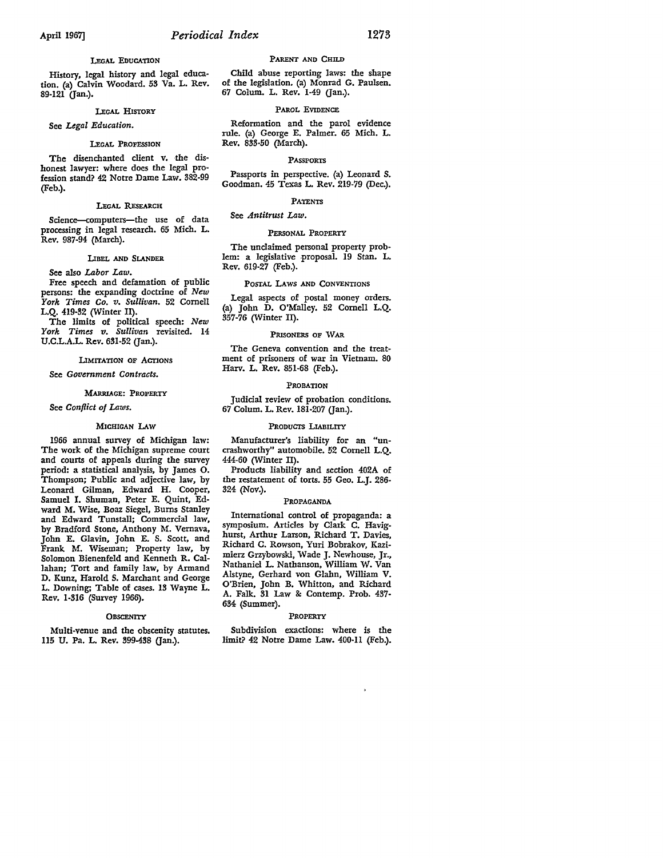## LEGAL EDUCATION

History, legal history and legal education. (a) Calvin Woodard. 53 Va. L. Rev. 89-121 (Jan.).

#### LEGAL HISTORY

#### See *Legal Education.*

#### LEGAL PROFESSION

The disenchanted client v. the dishonest lawyer: where does the legal profession stand? 42 Notre Dame Law. 382-99 (Feb.).

#### LEGAL RESEARCH

Science-computers-the use of data processing in legal research. 65 Mich. L. Rev. 987-94 (March).

## LIBEL AND SLANDER

See also *Labor Law.* 

Free speech and defamation of public persons: the expanding doctrine of *New York Times* Co. *v. Sullivan.* 52 Cornell L.Q. 419-32 (Winter II).

The limits of political speech: *New York Times v. Sullivan* revisited. 14 U.C.L.A.L. Rev. 631-52 (Jan.).

## LIMITATION OF ACTIONS

See *Government Contracts.* 

#### MARRIAGE: PROPERTY

# See *Conflict of Laws.*

# MICHIGAN LAW

1966 annual survey of Michigan law: The work of the Michigan supreme court and courts of appeals during the survey period: a statistical analysis, by James 0. Thompson; Public and adjective law, by Leonard Gilman, Edward H. Cooper, Samuel I. Shuman, Peter E. Quint, Edward M. Wise, Boaz Siegel, Bums Stanley and Edward Tunstall; Commercial law, by Bradford Stone, Anthony M. Vemava, John E. Glavin, John E. S. Scott, and Frank M. Wiseman; Property law, by Solomon Bienenfeld and Kenneth R. Callahan; Tort and family law, by Armand D. Kunz, Harold S. Marchant and George L. Downing; Table of cases. 13 Wayne L. Rev. 1·316 (Survey 1966).

#### **OBSCENITY**

Multi-venue and the obscenity statutes. 115 U. Pa. L. Rev. 399-438 (Jan.).

#### PARENT AND CHILD

Child abuse reporting laws: the shape of the legislation. (a) Monrad G. Paulsen. 67 Colum. L. Rev. 1-49 (Jan.).

#### PAROL EVIDENCE

Reformation and the parol evidence rule. (a) George E. Palmer. 65 Mich. L. Rev. 833-50 (March).

#### PASSPORTS

Passports in perspective. (a) Leonard S. Goodman. 45 Texas L. Rev. 219-79 (Dec.).

#### PATENTS

# See *Antitrust Law.*

#### PERSONAL PROPERTY

The unclaimed personal property problem: a legislative proposal. 19 Stan. L. Rev. 619-27 (Feb.).

#### POSTAL LAWS AND CONVENTIONS

Legal aspects of postal money orders. (a) John D. O'Malley. 52 Cornell L.Q. 357-76 (Winter II).

#### PRISONERS OF WAR

The Geneva convention and the treatment of prisoners of war in Vietnam. 80 Harv. L. Rev. 851-68 (Feb.).

#### PROBATION

Judicial review of probation conditions. 67 Colum. L. Rev. 181-207 (Jan.).

#### PRODUCTS LIABILITY

Manufacturer's liability for an "uncrashworthy" automobile. 52 Cornell L.Q. 444-60 (Winter II).

Products liability and section 402A of the restatement of torts. 55 Geo. L.J. 286- 324 (Nov.).

## PROPAGANDA

International control of propaganda: a symposium. Articles by Clark C. Havighurst, Arthur Larson, Richard T. Davies, Richard C. Rowson, Yuri Bobrakov, Kazimierz Grzybowski, Wade J. Newhouse, Jr., Nathaniel L. Nathanson, William W. Van Alstyne, Gerhard von Glahn, William V. O'Brien, John B. Whitton, and Richard A. Falk. 31 Law &: Contemp. Prob. 437- 634 (Summer).

#### PROPERTY

Subdivision exactions: where is the limit? 42 Notre Dame Law. 400-11 (Feb.).